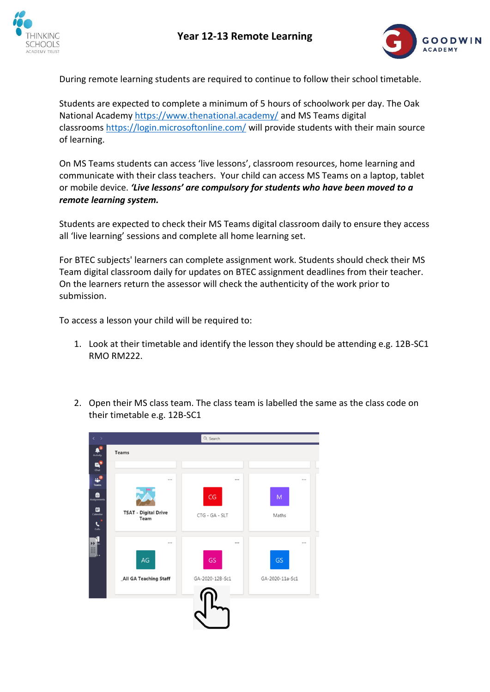



During remote learning students are required to continue to follow their school timetable.

Students are expected to complete a minimum of 5 hours of schoolwork per day. The Oak National Academy <https://www.thenational.academy/> and MS Teams digital classrooms <https://login.microsoftonline.com/> will provide students with their main source of learning.

On MS Teams students can access 'live lessons', classroom resources, home learning and communicate with their class teachers. Your child can access MS Teams on a laptop, tablet or mobile device. *'Live lessons' are compulsory for students who have been moved to a remote learning system.*

Students are expected to check their MS Teams digital classroom daily to ensure they access all 'live learning' sessions and complete all home learning set.

For BTEC subjects' learners can complete assignment work. Students should check their MS Team digital classroom daily for updates on BTEC assignment deadlines from their teacher. On the learners return the assessor will check the authenticity of the work prior to submission.

To access a lesson your child will be required to:

- 1. Look at their timetable and identify the lesson they should be attending e.g. 12B-SC1 RMO RM222.
- 2. Open their MS class team. The class team is labelled the same as the class code on their timetable e.g. 12B-SC1

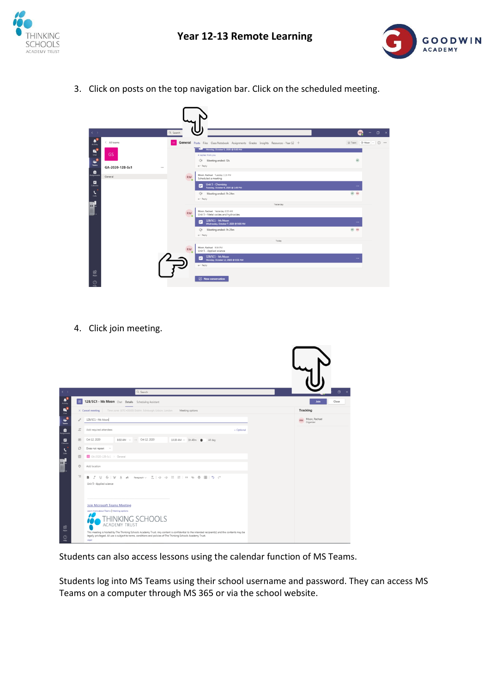



3. Click on posts on the top navigation bar. Click on the scheduled meeting.



4. Click join meeting.

| $\langle \quad \rangle$                                        |                | Q Search                                                                                                                                                                                                                                                                                                                                                                                                  | $\Box$ x                                |
|----------------------------------------------------------------|----------------|-----------------------------------------------------------------------------------------------------------------------------------------------------------------------------------------------------------------------------------------------------------------------------------------------------------------------------------------------------------------------------------------------------------|-----------------------------------------|
| $\begin{array}{c} \mathbf{a}^3 \\ \hline \end{array}$ Activity | 田              | 12B/SC1 - Ms Moon Chat Details Scheduling Assistant                                                                                                                                                                                                                                                                                                                                                       | Join<br>Close                           |
| $\vec{P}_s$                                                    |                | Time zone: (UTC+00:00) Dublin, Edinburgh, Lisbon, London<br>$\times$ Cancel meeting<br>Meeting options                                                                                                                                                                                                                                                                                                    | Tracking                                |
| $\ddot{ }$                                                     | 0              | 12B/SC1 - Ms Moon                                                                                                                                                                                                                                                                                                                                                                                         | Moon, Rachael<br><b>RM</b><br>Organizer |
| ê                                                              | $\mathbb{S}^*$ | Add required attendees<br>+ Optional                                                                                                                                                                                                                                                                                                                                                                      |                                         |
| <b><i><u>Andronin</u></i></b><br>$\Box$                        | 凹              | Oct 12, 2020<br>8:50 AM $\sim$ $\rightarrow$ Oct 12, 2020<br>$10:30$ AM $\sim$ 1h 40m $\bullet$<br>All day                                                                                                                                                                                                                                                                                                |                                         |
| $\cdot$                                                        | ø              | Does not repeat v                                                                                                                                                                                                                                                                                                                                                                                         |                                         |
| Calls                                                          | 图              | GA-2020-128-Sc1 > General                                                                                                                                                                                                                                                                                                                                                                                 |                                         |
| H                                                              | $\circledcirc$ | Add location                                                                                                                                                                                                                                                                                                                                                                                              |                                         |
|                                                                | $\equiv$       | B <i>I</i> リ S   by A A Pangnaph v <i>I</i> <sub>x</sub>   ∈ ∈ ⊟   E   11 © 를 囲   ち C'<br>Unit 5 - Applied science                                                                                                                                                                                                                                                                                        |                                         |
| $\boxplus$<br>Apps<br>$\circledcirc$<br>Holp.                  |                | <b>Join Microsoft Teams Meeting</b><br>Learn more about Teams   Meeting options<br>THINKING SCHOOLS<br><b>ACADEMY TRUST</b><br>This meeting is hosted by The Thinking Schools Academy Trust. Any content is confidential to the intended recipient(s) and the contents may be<br>legally privileged. All use is subject to terms, conditions and policies of The Thinking Schools Academy Trust.<br>Legal |                                         |

Students can also access lessons using the calendar function of MS Teams.

Students log into MS Teams using their school username and password. They can access MS Teams on a computer through MS 365 or via the school website.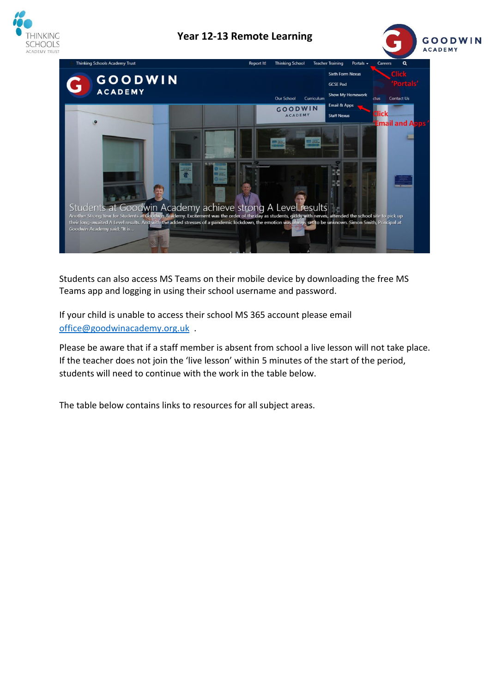

## **Year 12-13 Remote Learning**





Students can also access MS Teams on their mobile device by downloading the free MS Teams app and logging in using their school username and password.

If your child is unable to access their school MS 365 account please email [office@goodwinacademy.org.uk](mailto:office@goodwinacademy.org.uk) .

Please be aware that if a staff member is absent from school a live lesson will not take place. If the teacher does not join the 'live lesson' within 5 minutes of the start of the period, students will need to continue with the work in the table below.

The table below contains links to resources for all subject areas.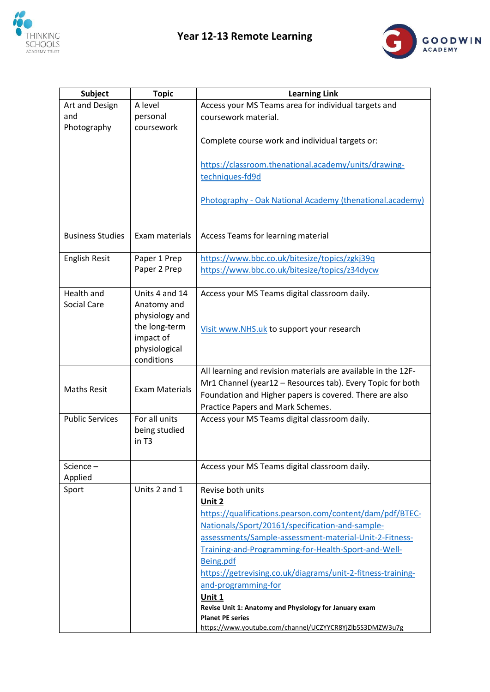



| <b>Subject</b>          | <b>Topic</b>          | <b>Learning Link</b>                                          |
|-------------------------|-----------------------|---------------------------------------------------------------|
| Art and Design          | A level               | Access your MS Teams area for individual targets and          |
| and                     | personal              | coursework material.                                          |
| Photography             | coursework            |                                                               |
|                         |                       | Complete course work and individual targets or:               |
|                         |                       | https://classroom.thenational.academy/units/drawing-          |
|                         |                       | techniques-fd9d                                               |
|                         |                       | Photography - Oak National Academy (thenational.academy)      |
| <b>Business Studies</b> | Exam materials        | Access Teams for learning material                            |
|                         |                       |                                                               |
| <b>English Resit</b>    | Paper 1 Prep          | https://www.bbc.co.uk/bitesize/topics/zgkj39q                 |
|                         | Paper 2 Prep          | https://www.bbc.co.uk/bitesize/topics/z34dycw                 |
| Health and              | Units 4 and 14        | Access your MS Teams digital classroom daily.                 |
| Social Care             | Anatomy and           |                                                               |
|                         | physiology and        |                                                               |
|                         | the long-term         | Visit www.NHS.uk to support your research                     |
|                         | impact of             |                                                               |
|                         | physiological         |                                                               |
|                         | conditions            |                                                               |
|                         | <b>Exam Materials</b> | All learning and revision materials are available in the 12F- |
| <b>Maths Resit</b>      |                       | Mr1 Channel (year12 - Resources tab). Every Topic for both    |
|                         |                       | Foundation and Higher papers is covered. There are also       |
|                         |                       | Practice Papers and Mark Schemes.                             |
| <b>Public Services</b>  | For all units         | Access your MS Teams digital classroom daily.                 |
|                         | being studied         |                                                               |
|                         | in T3                 |                                                               |
| Science –               |                       | Access your MS Teams digital classroom daily.                 |
| Applied                 |                       |                                                               |
| Sport                   | Units 2 and 1         | Revise both units                                             |
|                         |                       | Unit 2                                                        |
|                         |                       | https://qualifications.pearson.com/content/dam/pdf/BTEC-      |
|                         |                       | Nationals/Sport/20161/specification-and-sample-               |
|                         |                       | assessments/Sample-assessment-material-Unit-2-Fitness-        |
|                         |                       | Training-and-Programming-for-Health-Sport-and-Well-           |
|                         |                       | Being.pdf                                                     |
|                         |                       | https://getrevising.co.uk/diagrams/unit-2-fitness-training-   |
|                         |                       | and-programming-for                                           |
|                         |                       | Unit 1                                                        |
|                         |                       | Revise Unit 1: Anatomy and Physiology for January exam        |
|                         |                       | <b>Planet PE series</b>                                       |
|                         |                       | https://www.youtube.com/channel/UCZYYCR8YjZlb5S3DMZW3u7g      |